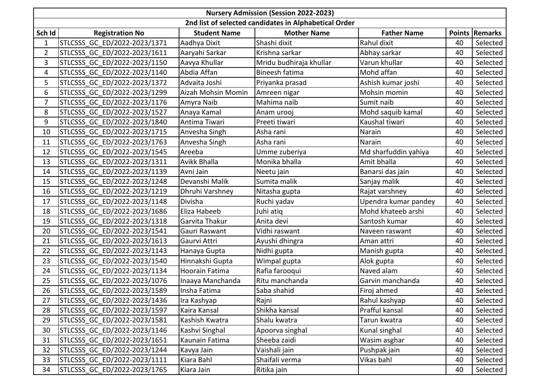| <b>Nursery Admission (Session 2022-2023)</b>          |                              |                     |                         |                      |    |                |  |  |  |  |  |
|-------------------------------------------------------|------------------------------|---------------------|-------------------------|----------------------|----|----------------|--|--|--|--|--|
| 2nd list of selected candidates in Alphabetical Order |                              |                     |                         |                      |    |                |  |  |  |  |  |
| Sch Id                                                | <b>Registration No</b>       | <b>Student Name</b> | <b>Mother Name</b>      | <b>Father Name</b>   |    | Points Remarks |  |  |  |  |  |
| $\mathbf{1}$                                          | STLCSSS GC ED/2022-2023/1371 | Aadhya Dixit        | Shashi dixit            | Rahul dixit          | 40 | Selected       |  |  |  |  |  |
| $\overline{2}$                                        | STLCSSS GC ED/2022-2023/1611 | Aaryahi Sarkar      | Krishna sarkar          | Abhay sarkar         | 40 | Selected       |  |  |  |  |  |
| 3                                                     | STLCSSS GC ED/2022-2023/1150 | Aavya Khullar       | Mridu budhiraja khullar | Varun khullar        | 40 | Selected       |  |  |  |  |  |
| 4                                                     | STLCSSS GC ED/2022-2023/1140 | Abdia Affan         | Bineesh fatima          | Mohd affan           | 40 | Selected       |  |  |  |  |  |
| 5                                                     | STLCSSS GC ED/2022-2023/1372 | Advaita Joshi       | Priyanka prasad         | Ashish kumar joshi   | 40 | Selected       |  |  |  |  |  |
| 6                                                     | STLCSSS GC ED/2022-2023/1299 | Aizah Mohsin Momin  | Amreen nigar            | Mohsin momin         | 40 | Selected       |  |  |  |  |  |
| $\overline{7}$                                        | STLCSSS GC ED/2022-2023/1176 | Amyra Naib          | Mahima naib             | Sumit naib           | 40 | Selected       |  |  |  |  |  |
| 8                                                     | STLCSSS GC ED/2022-2023/1527 | Anaya Kamal         | Anam urooj              | Mohd saquib kamal    | 40 | Selected       |  |  |  |  |  |
| 9                                                     | STLCSSS GC ED/2022-2023/1840 | Antima Tiwari       | Preeti tiwari           | Kaushal tiwari       | 40 | Selected       |  |  |  |  |  |
| 10                                                    | STLCSSS GC ED/2022-2023/1715 | Anvesha Singh       | Asha rani               | Narain               | 40 | Selected       |  |  |  |  |  |
| 11                                                    | STLCSSS GC ED/2022-2023/1763 | Anvesha Singh       | Asha rani               | Narain               | 40 | Selected       |  |  |  |  |  |
| 12                                                    | STLCSSS GC ED/2022-2023/1545 | Areeba              | Umme zuberiya           | Md sharfuddin yahiya | 40 | Selected       |  |  |  |  |  |
| 13                                                    | STLCSSS GC ED/2022-2023/1311 | <b>Avikk Bhalla</b> | Monika bhalla           | Amit bhalla          | 40 | Selected       |  |  |  |  |  |
| 14                                                    | STLCSSS GC ED/2022-2023/1139 | Avni Jain           | Neetu jain              | Banarsi das jain     | 40 | Selected       |  |  |  |  |  |
| 15                                                    | STLCSSS GC ED/2022-2023/1248 | Devanshi Malik      | Sumita malik            | Sanjay malik         | 40 | Selected       |  |  |  |  |  |
| 16                                                    | STLCSSS GC ED/2022-2023/1219 | Dhruhi Varshney     | Nitasha gupta           | Rajat varshney       | 40 | Selected       |  |  |  |  |  |
| 17                                                    | STLCSSS GC ED/2022-2023/1148 | Divisha             | Ruchi yadav             | Upendra kumar pandey | 40 | Selected       |  |  |  |  |  |
| 18                                                    | STLCSSS GC ED/2022-2023/1686 | Eliza Habeeb        | Juhi atiq               | Mohd khateeb arshi   | 40 | Selected       |  |  |  |  |  |
| 19                                                    | STLCSSS GC ED/2022-2023/1318 | Garvita Thakur      | Anita devi              | Santosh kumar        | 40 | Selected       |  |  |  |  |  |
| 20                                                    | STLCSSS GC ED/2022-2023/1541 | Gauri Raswant       | Vidhi raswant           | Naveen raswant       | 40 | Selected       |  |  |  |  |  |
| 21                                                    | STLCSSS GC ED/2022-2023/1613 | Gaurvi Attri        | Ayushi dhingra          | Aman attri           | 40 | Selected       |  |  |  |  |  |
| 22                                                    | STLCSSS GC ED/2022-2023/1143 | Hanaya Gupta        | Nidhi gupta             | Manish gupta         | 40 | Selected       |  |  |  |  |  |
| 23                                                    | STLCSSS GC ED/2022-2023/1540 | Hinnakshi Gupta     | Wimpal gupta            | Alok gupta           | 40 | Selected       |  |  |  |  |  |
| 24                                                    | STLCSSS GC ED/2022-2023/1134 | Hoorain Fatima      | Rafia farooqui          | Naved alam           | 40 | Selected       |  |  |  |  |  |
| 25                                                    | STLCSSS GC ED/2022-2023/1076 | Inaaya Manchanda    | Ritu manchanda          | Garvin manchanda     | 40 | Selected       |  |  |  |  |  |
| 26                                                    | STLCSSS GC ED/2022-2023/1589 | Insha Fatima        | Saba shahid             | Firoj ahmed          | 40 | Selected       |  |  |  |  |  |
| 27                                                    | STLCSSS GC ED/2022-2023/1436 | Ira Kashyap         | Rajni                   | Rahul kashyap        | 40 | Selected       |  |  |  |  |  |
| 28                                                    | STLCSSS GC ED/2022-2023/1597 | Kaira Kansal        | Shikha kansal           | Prafful kansal       | 40 | Selected       |  |  |  |  |  |
| 29                                                    | STLCSSS GC ED/2022-2023/1581 | Kashish Kwatra      | Shalu kwatra            | Tarun kwatra         | 40 | Selected       |  |  |  |  |  |
| 30                                                    | STLCSSS GC ED/2022-2023/1146 | Kashvi Singhal      | Apoorva singhal         | Kunal singhal        | 40 | Selected       |  |  |  |  |  |
| 31                                                    | STLCSSS GC ED/2022-2023/1651 | Kaunain Fatima      | Sheeba zaidi            | Wasim asghar         | 40 | Selected       |  |  |  |  |  |
| 32                                                    | STLCSSS GC ED/2022-2023/1244 | Kavya Jain          | Vaishali jain           | Pushpak jain         | 40 | Selected       |  |  |  |  |  |
| 33                                                    | STLCSSS GC ED/2022-2023/1111 | Kiara Bahl          | Shaifali verma          | Vikas bahl           | 40 | Selected       |  |  |  |  |  |
| 34                                                    | STLCSSS GC ED/2022-2023/1765 | Kiara Jain          | Ritika jain             |                      | 40 | Selected       |  |  |  |  |  |